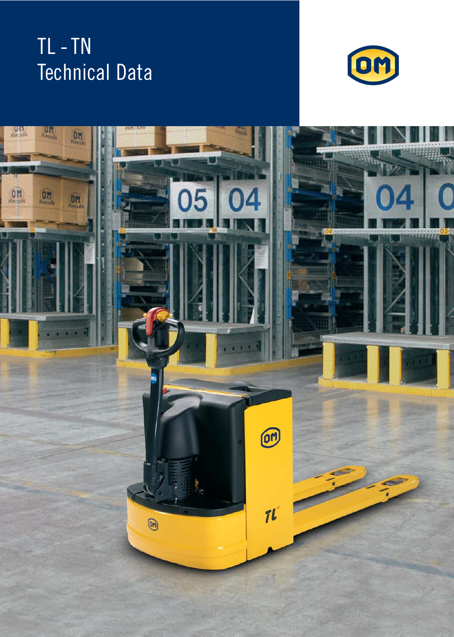## TL - TN Technical Data



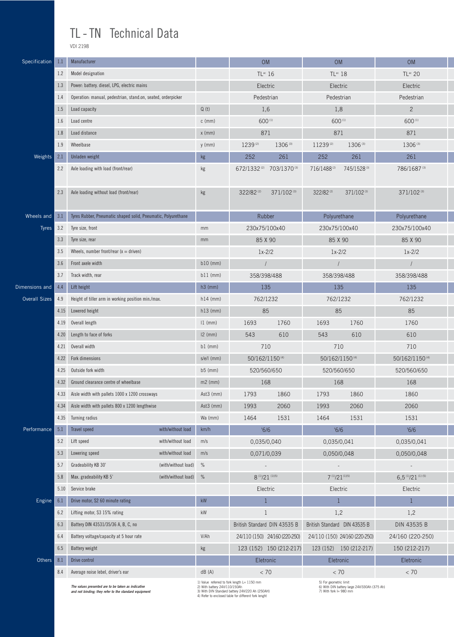## TL - TN Technical Data

VDI 2198

| Specification        | 1.1                                                                                                                                                             | Manufacturer                                                                                                                                                                                                                                                                                                                                                                                               |                   | <b>OM</b>    |                              | OM                                              |                              | <b>OM</b>                     |                      |  |
|----------------------|-----------------------------------------------------------------------------------------------------------------------------------------------------------------|------------------------------------------------------------------------------------------------------------------------------------------------------------------------------------------------------------------------------------------------------------------------------------------------------------------------------------------------------------------------------------------------------------|-------------------|--------------|------------------------------|-------------------------------------------------|------------------------------|-------------------------------|----------------------|--|
|                      | 1.2<br>Model designation<br>Power: battery. diesel, LPG, electric mains<br>1.3                                                                                  |                                                                                                                                                                                                                                                                                                                                                                                                            |                   |              | TL <sup>ac</sup> 16          |                                                 | TL <sup>ac</sup> 18          |                               | TL <sup>ac</sup> 20  |  |
|                      |                                                                                                                                                                 |                                                                                                                                                                                                                                                                                                                                                                                                            |                   |              | Electric                     |                                                 | Electric                     |                               | Electric             |  |
|                      | 1.4                                                                                                                                                             | Operation: manual, pedestrian, stand.on, seated, orderpicker<br>Load capacity<br>Load centre                                                                                                                                                                                                                                                                                                               |                   |              | Pedestrian                   |                                                 | Pedestrian                   |                               | Pedestrian           |  |
|                      | 1.5                                                                                                                                                             |                                                                                                                                                                                                                                                                                                                                                                                                            |                   | Q(t)         | 1,6                          |                                                 | 1,8                          |                               | $\overline{2}$       |  |
|                      | 1.6                                                                                                                                                             |                                                                                                                                                                                                                                                                                                                                                                                                            |                   | $c$ (mm)     | 600(1)                       |                                                 | 600(1)                       |                               | 600(1)               |  |
|                      | 1.8                                                                                                                                                             | Load distance                                                                                                                                                                                                                                                                                                                                                                                              |                   | $x$ (mm)     | 871                          |                                                 | 871                          |                               | 871                  |  |
|                      | 1.9                                                                                                                                                             | Wheelbase                                                                                                                                                                                                                                                                                                                                                                                                  |                   | $y$ (mm)     | 1239(2)                      | 1306 (3)                                        | 11239(2)<br>1306(3)          |                               | 1306 (3)             |  |
| Weights              | 2.1                                                                                                                                                             | Unladen weight                                                                                                                                                                                                                                                                                                                                                                                             |                   | kg           | 252                          | 261                                             | 252                          | 261                           | 261                  |  |
|                      | 2.2                                                                                                                                                             | Axle loading with load (front/rear)                                                                                                                                                                                                                                                                                                                                                                        |                   | kg           |                              | 672/1332 <sup>(2)</sup> 703/1370 <sup>(3)</sup> | 716/1488(2)                  | 745/1528(3)                   | 786/1687 (3)         |  |
|                      | 2.3                                                                                                                                                             | Axle loading without load (front/rear)                                                                                                                                                                                                                                                                                                                                                                     |                   | kg           | 322/82(2)                    | 371/102(3)                                      | 322/82(2)                    | 371/102(3)                    | 371/102(3)           |  |
| Wheels and           | 3.1                                                                                                                                                             | Tyres Rubber, Pneumatic shaped solid, Pneumatic, Polyurethane                                                                                                                                                                                                                                                                                                                                              |                   |              | Rubber                       |                                                 | Polyurethane                 |                               | Polyurethane         |  |
| <b>Tyres</b>         | 3.2                                                                                                                                                             | Tyre size, front                                                                                                                                                                                                                                                                                                                                                                                           |                   | mm           | 230x75/100x40                |                                                 | 230x75/100x40                |                               | 230x75/100x40        |  |
|                      | 3.3                                                                                                                                                             | Tyre size, rear                                                                                                                                                                                                                                                                                                                                                                                            |                   | mm           | 85 X 90                      |                                                 | 85 X 90                      |                               | 85 X 90              |  |
|                      | 3.5                                                                                                                                                             | Wheels, number front/rear $(x =$ driven)                                                                                                                                                                                                                                                                                                                                                                   |                   |              | $1x-2/2$                     |                                                 | $1x-2/2$                     |                               | $1x-2/2$             |  |
|                      | 3.6                                                                                                                                                             | Front axele width                                                                                                                                                                                                                                                                                                                                                                                          |                   | $b10$ (mm)   | $\sqrt{ }$                   |                                                 |                              |                               | $\sqrt{ }$           |  |
|                      | 3.7<br>Track width, rear                                                                                                                                        |                                                                                                                                                                                                                                                                                                                                                                                                            |                   | $b11$ (mm)   | 358/398/488                  |                                                 | 358/398/488                  |                               | 358/398/488          |  |
| Dimensions and       | 4.4                                                                                                                                                             | Lift height                                                                                                                                                                                                                                                                                                                                                                                                |                   | $h3$ (mm)    | 135                          |                                                 | 135                          |                               | 135                  |  |
| <b>Overall Sizes</b> | 4.9                                                                                                                                                             | Height of tiller arm in working position min./max.                                                                                                                                                                                                                                                                                                                                                         |                   | $h14$ (mm)   |                              | 762/1232<br>762/1232                            |                              |                               | 762/1232             |  |
|                      | 4.15                                                                                                                                                            | Lowered height                                                                                                                                                                                                                                                                                                                                                                                             |                   | $h13$ (mm)   | 85                           |                                                 | 85                           |                               | 85                   |  |
|                      | 4.19                                                                                                                                                            | Overall length                                                                                                                                                                                                                                                                                                                                                                                             |                   | $11$ (mm)    | 1693                         | 1760                                            | 1693                         | 1760                          | 1760                 |  |
|                      | 4.20                                                                                                                                                            | Length to face of forks                                                                                                                                                                                                                                                                                                                                                                                    |                   | $12$ (mm)    | 543                          | 610                                             | 543                          | 610                           | 610                  |  |
|                      | 4.21                                                                                                                                                            | Overall width                                                                                                                                                                                                                                                                                                                                                                                              |                   | $b1$ (mm)    | 710                          |                                                 | 710                          |                               | 710                  |  |
|                      | 4.22<br>Fork dimensions<br>4.25<br>Outside fork width<br>4.32<br>Ground clearance centre of wheelbase<br>4.33<br>Aisle width with pallets 1000 x 1200 crossways |                                                                                                                                                                                                                                                                                                                                                                                                            |                   | $s/e/l$ (mm) | 50/162/1150(4)               |                                                 | 50/162/1150 (4)              |                               | 50/162/1150 (4)      |  |
|                      |                                                                                                                                                                 |                                                                                                                                                                                                                                                                                                                                                                                                            |                   | $b5$ (mm)    | 520/560/650                  |                                                 | 520/560/650                  |                               | 520/560/650          |  |
|                      |                                                                                                                                                                 |                                                                                                                                                                                                                                                                                                                                                                                                            |                   | $m2$ (mm)    | 168                          |                                                 | 168                          |                               | 168                  |  |
|                      |                                                                                                                                                                 |                                                                                                                                                                                                                                                                                                                                                                                                            |                   | $Ast3$ (mm)  | 1793                         | 1860                                            | 1793                         | 1860                          | 1860                 |  |
| 4.34                 |                                                                                                                                                                 | Aisle width with pallets 800 x 1200 lengthwise                                                                                                                                                                                                                                                                                                                                                             |                   | Ast3 (mm)    | 1993                         | 2060                                            | 1993                         | 2060                          | 2060                 |  |
|                      | 4.35                                                                                                                                                            | Turning radius                                                                                                                                                                                                                                                                                                                                                                                             |                   | Wa (mm)      | 1464                         | 1531                                            | 1464                         | 1531                          | 1531                 |  |
| Performance          | 5.1                                                                                                                                                             | Travel speed                                                                                                                                                                                                                                                                                                                                                                                               | with/without load | km/h         | 16/6                         |                                                 | 16/6                         |                               | 16/6                 |  |
|                      | 5.2                                                                                                                                                             | Lift speed                                                                                                                                                                                                                                                                                                                                                                                                 | with/without load | m/s          | 0,035/0,040                  |                                                 | 0,035/0,041                  |                               | 0,035/0,041          |  |
|                      | 5.3                                                                                                                                                             | with/without load<br>Lowering speed                                                                                                                                                                                                                                                                                                                                                                        |                   | m/s          | 0,071/0,039                  |                                                 | 0,050/0,048                  |                               | 0,050/0,048          |  |
|                      | 5.7                                                                                                                                                             | Gradeability KB 30'<br>(with/without load)                                                                                                                                                                                                                                                                                                                                                                 |                   | %            | $\overline{\phantom{a}}$     |                                                 |                              |                               |                      |  |
|                      | 5.8                                                                                                                                                             | Max. gradeability KB 5'<br>(with/without load)                                                                                                                                                                                                                                                                                                                                                             |                   | $\%$         | $8^{(1)}/21^{(1)(5)}$        |                                                 | $7^{(1)}/21^{(1)(5)}$        |                               | $6,5$ (1)/21 (1) (5) |  |
|                      | 5.10                                                                                                                                                            | Service brake                                                                                                                                                                                                                                                                                                                                                                                              |                   |              | Electric                     |                                                 | Electric                     |                               | Electric             |  |
| Engine               | 6.1                                                                                                                                                             | Drive motor, S2 60 minute rating                                                                                                                                                                                                                                                                                                                                                                           |                   | kW           | $\mathbf{1}$                 |                                                 | 1                            |                               | $\mathbf{1}$         |  |
|                      | Lifting motor, S3 15% rating<br>6.2                                                                                                                             |                                                                                                                                                                                                                                                                                                                                                                                                            |                   | kW           | $\mathbf{1}$                 |                                                 | 1,2                          |                               | 1,2                  |  |
|                      | 6.3                                                                                                                                                             | Battery DIN 43531/35/36 A, B, C, no                                                                                                                                                                                                                                                                                                                                                                        |                   |              | British Standard DIN 43535 B |                                                 | British Standard DIN 43535 B |                               | DIN 43535 B          |  |
|                      | 6.4                                                                                                                                                             | Battery voltage/capacity at 5 hour rate                                                                                                                                                                                                                                                                                                                                                                    |                   | V/Ah         |                              | 24/110 (150) 24/160 (220-250)                   |                              | 24/110 (150) 24/160 (220-250) | 24/160 (220-250)     |  |
|                      | 6.5                                                                                                                                                             | <b>Battery weight</b>                                                                                                                                                                                                                                                                                                                                                                                      |                   | kg           |                              | 123 (152) 150 (212-217)                         |                              | 123 (152) 150 (212-217)       | 150 (212-217)        |  |
| Others               | 8.1                                                                                                                                                             | Drive control                                                                                                                                                                                                                                                                                                                                                                                              |                   |              | Eletronic                    |                                                 | Eletronic                    |                               | Eletronic            |  |
|                      | 8.4                                                                                                                                                             | Average noise lebel, driver's ear                                                                                                                                                                                                                                                                                                                                                                          |                   | dB(A)        | < 70                         |                                                 | < 70                         |                               | < 70                 |  |
|                      |                                                                                                                                                                 | 1) Value referred to fork length L= 1150 mm<br>5) For geometric limit<br>The values presented are to be taken as indicative<br>6) With DIN battery large 24V/330Ah (375 Ah)<br>2) With battery 24V/110/150Ah<br>3) With DIN Standard battery 24V/220 Ah (250AH)<br>7) With fork I= 980 mm<br>and not binding; they refer to the standard equipment<br>4) Refer to enclosed table for different fork lenght |                   |              |                              |                                                 |                              |                               |                      |  |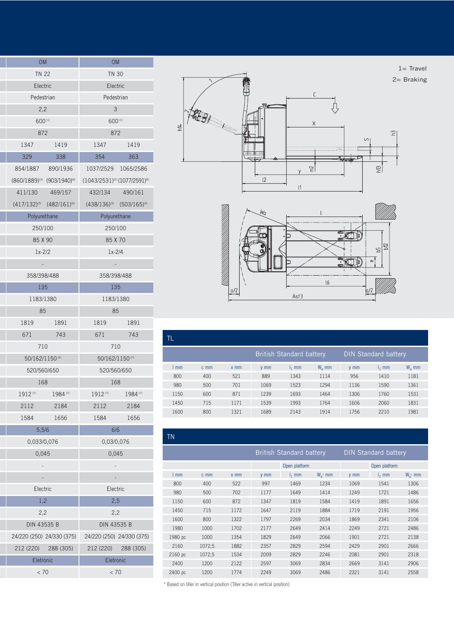| <b>OM</b>       |                                       | <b>OM</b>                            |                                     |  |  |  |  |
|-----------------|---------------------------------------|--------------------------------------|-------------------------------------|--|--|--|--|
| <b>TN 22</b>    |                                       | <b>TN 30</b>                         |                                     |  |  |  |  |
| Electric        |                                       | Electric                             |                                     |  |  |  |  |
| Pedestrian      |                                       | Pedestrian                           |                                     |  |  |  |  |
| 2,2             |                                       | 3                                    |                                     |  |  |  |  |
| 600(1)          |                                       | 600(1)                               |                                     |  |  |  |  |
| 872             |                                       |                                      | 872                                 |  |  |  |  |
| 1347            | 1419                                  | 1347                                 | 1419                                |  |  |  |  |
| 329             | 338                                   | 354                                  | 363                                 |  |  |  |  |
|                 | 854/1887 890/1936                     |                                      | 1037/2529 1065/2586                 |  |  |  |  |
|                 | $(860/1889)^{(3)}$ $(903/1940)^{(6)}$ | $(1043/2531)^{(3)}(1077/2591)^{(6)}$ |                                     |  |  |  |  |
|                 | 411/130  469/157                      | 432/134 490/161                      |                                     |  |  |  |  |
|                 | $(417/132)^{(3)}$ $(482/161)^{(6)}$   |                                      | $(438/136)^{(3)}$ $(503/165)^{(6)}$ |  |  |  |  |
| Polyurethane    |                                       | Polyurethane                         |                                     |  |  |  |  |
| 250/100         |                                       | 250/100                              |                                     |  |  |  |  |
| 85 X 90         |                                       | 85 X 70                              |                                     |  |  |  |  |
| $1x-2/2$        |                                       | $1x-2/4$                             |                                     |  |  |  |  |
|                 |                                       |                                      |                                     |  |  |  |  |
| 358/398/488     |                                       | 358/398/488                          |                                     |  |  |  |  |
| 135             |                                       | 135                                  |                                     |  |  |  |  |
| 1183/1380       |                                       | 1183/1380                            |                                     |  |  |  |  |
| 85              |                                       | 85                                   |                                     |  |  |  |  |
| 1819            | 1891                                  | 1819                                 | 1891                                |  |  |  |  |
| 671             | 743                                   | 671                                  | 743                                 |  |  |  |  |
| 710             |                                       | 710                                  |                                     |  |  |  |  |
| 50/162/1150 (4) |                                       | 50/162/1150(7)                       |                                     |  |  |  |  |
| 520/560/650     |                                       | 520/560/650                          |                                     |  |  |  |  |
| 168             |                                       | 168                                  |                                     |  |  |  |  |
| 1912(7)         | 1984(7)                               | 1912(7)                              | 1984(7)                             |  |  |  |  |
| 2112            | 2184                                  | 2112                                 | 2184                                |  |  |  |  |
| 1584            | 1656                                  | 1584                                 | 1656                                |  |  |  |  |
| 5,5/6           |                                       | 6/6                                  |                                     |  |  |  |  |
| 0,033/0,076     |                                       | 0,03/0,076                           |                                     |  |  |  |  |
| 0,045           |                                       | 0,045                                |                                     |  |  |  |  |
|                 |                                       |                                      |                                     |  |  |  |  |
|                 |                                       |                                      |                                     |  |  |  |  |
| Electric        |                                       | Electric                             |                                     |  |  |  |  |
| 1,2             |                                       | 2,5                                  |                                     |  |  |  |  |
| 2,2             |                                       | 2,2                                  |                                     |  |  |  |  |
| DIN 43535 B     |                                       | DIN 43535 B                          |                                     |  |  |  |  |
|                 | 24/220 (250) 24/330 (375)             |                                      | 24/220 (250) 24/330 (375)           |  |  |  |  |
|                 | 212 (220) 288 (305)                   |                                      | 212 (220) 288 (305)                 |  |  |  |  |
| Eletronic       |                                       | Eletronic                            |                                     |  |  |  |  |
| < 70            |                                       | < 70                                 |                                     |  |  |  |  |

ī



 $a/2$ 

| TL   |      |        |                                 |          |          |      |                             |          |
|------|------|--------|---------------------------------|----------|----------|------|-----------------------------|----------|
|      |      |        | <b>British Standard battery</b> |          |          |      | <b>DIN Standard battery</b> |          |
| mm   | c mm | $x$ mm | $v$ mm                          | $l_1$ mm | $W_a$ mm | y mm | $l_1$ mm                    | $W_a$ mm |
| 800  | 400  | 521    | 889                             | 1343     | 1114     | 956  | 1410                        | 1181     |
| 980  | 500  | 701    | 1069                            | 1523     | 1294     | 1136 | 1590                        | 1361     |
| 1150 | 600  | 871    | 1239                            | 1693     | 1464     | 1306 | 1760                        | 1531     |
| 1450 | 715  | 1171   | 1539                            | 1993     | 1764     | 1606 | 2060                        | 1831     |
| 1600 | 800  | 1321   | 1689                            | 2143     | 1914     | 1756 | 2210                        | 1981     |

 $Asf3$ 

| <b>TN</b> |        |        |                                 |          |              |                             |          |            |  |
|-----------|--------|--------|---------------------------------|----------|--------------|-----------------------------|----------|------------|--|
|           |        |        | <b>British Standard battery</b> |          |              | <b>DIN Standard battery</b> |          |            |  |
|           |        |        | Open platform                   |          |              | Open platform               |          |            |  |
| 1mm       | c mm   | $x$ mm | y mm                            | $l_1$ mm | $W_{a^*}$ mm | y mm                        | $l_1$ mm | $W_a$ * mm |  |
| 800       | 400    | 522    | 997                             | 1469     | 1234         | 1069                        | 1541     | 1306       |  |
| 980       | 500    | 702    | 1177                            | 1649     | 1414         | 1249                        | 1721     | 1486       |  |
| 1150      | 600    | 872    | 1347                            | 1819     | 1584         | 1419                        | 1891     | 1656       |  |
| 1450      | 715    | 1172   | 1647                            | 2119     | 1884         | 1719                        | 2191     | 1956       |  |
| 1600      | 800    | 1322   | 1797                            | 2269     | 2034         | 1869                        | 2341     | 2106       |  |
| 1980      | 1000   | 1702   | 2177                            | 2649     | 2414         | 2249                        | 2721     | 2486       |  |
| 1980 pc   | 1000   | 1354   | 1829                            | 2649     | 2066         | 1901                        | 2721     | 2138       |  |
| 2160      | 1072,5 | 1882   | 2357                            | 2829     | 2594         | 2429                        | 2901     | 2666       |  |
| 2160 pc   | 1072,5 | 1534   | 2009                            | 2829     | 2246         | 2081                        | 2901     | 2318       |  |
| 2400      | 1200   | 2122   | 2597                            | 3069     | 2834         | 2669                        | 3141     | 2906       |  |
| 2400 pc   | 1200   | 1774   | 2249                            | 3069     | 2486         | 2321                        | 3141     | 2558       |  |

 $*$  Based on tiller in vertical position (Tiller active in vertical position)

 $a/2$